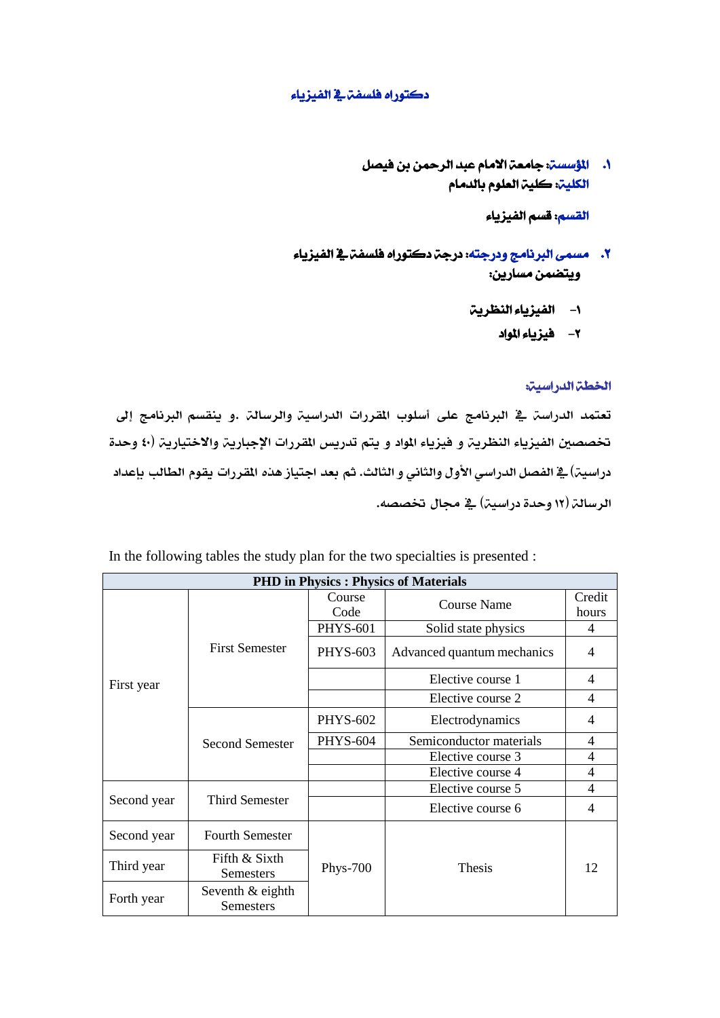## دكتوراه فلسفة يف الفيزياء

.1 املؤسسة: جامعة االمام عبد الرمحن بن فيصل الكلية: كلية العلوم بالدمام

القسم: قسم الفيزياء

- .2 مسمى الربنامج ودرجته: درجة دكتوراه فلسفة يف الفيزياء ويتضمن مسارين:
	- -1 الفيزياء النظرية
		- -2 فيزياء املواد

## اخلطة الدراسية:

تعتمد الدراسة يف البرنامج على أسلوب المقررات الدراسية والرسالة .و ينقسم البرنامج إلى تخصصين الفيزياء النظرية و فيزياء المواد و يتم تدريس المقررات الإجبارية والاختيارية (٤٠ وحدة دراسية) ية الفصل الدراسي الأول والثاني و الثالث. ثم بعد اجتياز هذه المقررات يقوم الطالب بإعداد الرسالة (١٢ وحدة دراسية) في مجال تخصصه.

In the following tables the study plan for the two specialties is presented :

| <b>PHD</b> in Physics : Physics of Materials |                        |                 |                            |                          |  |  |  |  |  |
|----------------------------------------------|------------------------|-----------------|----------------------------|--------------------------|--|--|--|--|--|
| First year                                   | <b>First Semester</b>  | Course          | <b>Course Name</b>         | Credit                   |  |  |  |  |  |
|                                              |                        | Code            |                            | hours                    |  |  |  |  |  |
|                                              |                        | <b>PHYS-601</b> | Solid state physics        | 4                        |  |  |  |  |  |
|                                              |                        | <b>PHYS-603</b> | Advanced quantum mechanics | $\overline{4}$           |  |  |  |  |  |
|                                              |                        |                 | Elective course 1          | 4                        |  |  |  |  |  |
|                                              |                        |                 | Elective course 2          | 4                        |  |  |  |  |  |
|                                              | Second Semester        | <b>PHYS-602</b> | Electrodynamics            | 4                        |  |  |  |  |  |
|                                              |                        | <b>PHYS-604</b> | Semiconductor materials    | $\overline{\mathcal{A}}$ |  |  |  |  |  |
|                                              |                        |                 | Elective course 3          | 4                        |  |  |  |  |  |
|                                              |                        |                 | Elective course 4          | 4                        |  |  |  |  |  |
| Second year                                  | Third Semester         |                 | Elective course 5          | 4                        |  |  |  |  |  |
|                                              |                        |                 | Elective course 6          | 4                        |  |  |  |  |  |
| Second year                                  | <b>Fourth Semester</b> |                 |                            |                          |  |  |  |  |  |
| Third year                                   | Fifth & Sixth          | <b>Phys-700</b> | <b>Thesis</b>              | 12                       |  |  |  |  |  |
|                                              | Semesters              |                 |                            |                          |  |  |  |  |  |
| Forth year                                   | Seventh & eighth       |                 |                            |                          |  |  |  |  |  |
|                                              | <b>Semesters</b>       |                 |                            |                          |  |  |  |  |  |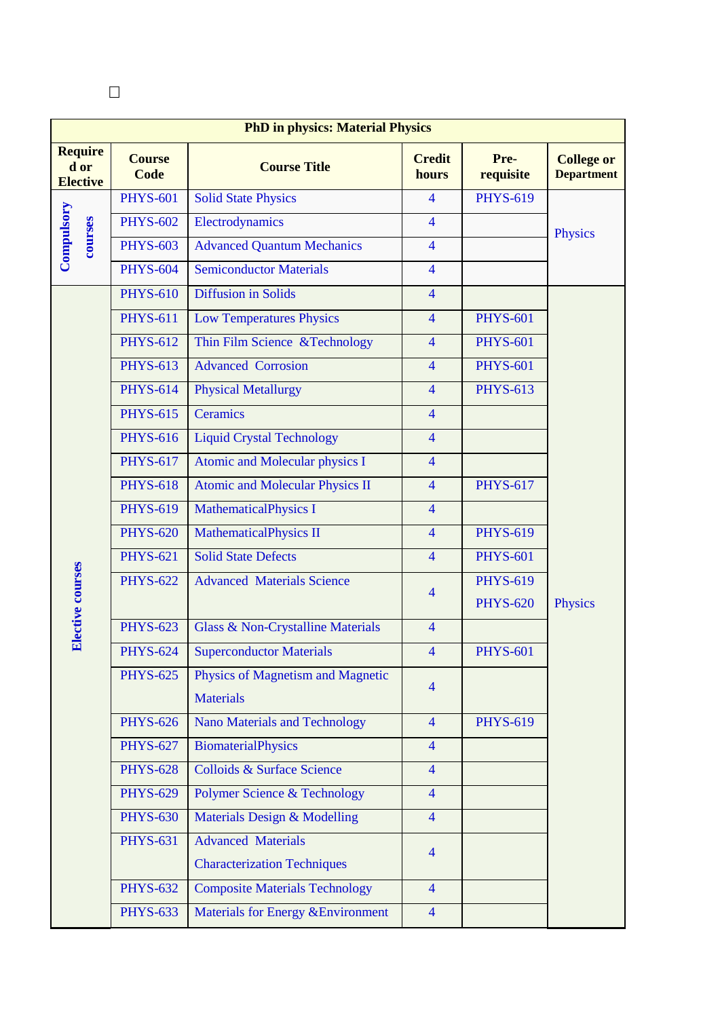| <b>PhD in physics: Material Physics</b>   |                              |                                                       |                        |                   |                                        |  |  |
|-------------------------------------------|------------------------------|-------------------------------------------------------|------------------------|-------------------|----------------------------------------|--|--|
| <b>Require</b><br>d or<br><b>Elective</b> | <b>Course</b><br><b>Code</b> | <b>Course Title</b>                                   | <b>Credit</b><br>hours | Pre-<br>requisite | <b>College or</b><br><b>Department</b> |  |  |
| Compulsory<br>courses                     | <b>PHYS-601</b>              | <b>Solid State Physics</b>                            | $\overline{4}$         | <b>PHYS-619</b>   |                                        |  |  |
|                                           | <b>PHYS-602</b>              | Electrodynamics                                       | $\overline{4}$         |                   | <b>Physics</b>                         |  |  |
|                                           | <b>PHYS-603</b>              | <b>Advanced Quantum Mechanics</b>                     | $\overline{4}$         |                   |                                        |  |  |
|                                           | <b>PHYS-604</b>              | <b>Semiconductor Materials</b>                        | $\overline{4}$         |                   |                                        |  |  |
|                                           | <b>PHYS-610</b>              | <b>Diffusion in Solids</b>                            | $\overline{4}$         |                   |                                        |  |  |
|                                           | <b>PHYS-611</b>              | <b>Low Temperatures Physics</b>                       | $\overline{4}$         | <b>PHYS-601</b>   |                                        |  |  |
|                                           | <b>PHYS-612</b>              | Thin Film Science & Technology                        | $\overline{4}$         | <b>PHYS-601</b>   |                                        |  |  |
|                                           | <b>PHYS-613</b>              | <b>Advanced Corrosion</b>                             | $\overline{4}$         | <b>PHYS-601</b>   |                                        |  |  |
|                                           | <b>PHYS-614</b>              | <b>Physical Metallurgy</b>                            | $\overline{4}$         | <b>PHYS-613</b>   |                                        |  |  |
|                                           | <b>PHYS-615</b>              | Ceramics                                              | $\overline{4}$         |                   |                                        |  |  |
|                                           | <b>PHYS-616</b>              | <b>Liquid Crystal Technology</b>                      | $\overline{4}$         |                   |                                        |  |  |
|                                           | <b>PHYS-617</b>              | Atomic and Molecular physics I                        | $\overline{4}$         |                   |                                        |  |  |
|                                           | <b>PHYS-618</b>              | <b>Atomic and Molecular Physics II</b>                | $\overline{4}$         | <b>PHYS-617</b>   | Physics                                |  |  |
| Elective courses                          | <b>PHYS-619</b>              | <b>MathematicalPhysics I</b>                          | $\overline{4}$         |                   |                                        |  |  |
|                                           | <b>PHYS-620</b>              | <b>MathematicalPhysics II</b>                         | $\overline{4}$         | <b>PHYS-619</b>   |                                        |  |  |
|                                           | <b>PHYS-621</b>              | <b>Solid State Defects</b>                            | $\overline{4}$         | <b>PHYS-601</b>   |                                        |  |  |
|                                           | <b>PHYS-622</b>              | <b>Advanced Materials Science</b>                     | $\overline{4}$         | <b>PHYS-619</b>   |                                        |  |  |
|                                           |                              |                                                       |                        | <b>PHYS-620</b>   |                                        |  |  |
|                                           | <b>PHYS-623</b>              | <b>Glass &amp; Non-Crystalline Materials</b>          | $\overline{4}$         |                   |                                        |  |  |
|                                           | <b>PHYS-624</b>              | <b>Superconductor Materials</b>                       | $\overline{4}$         | <b>PHYS-601</b>   |                                        |  |  |
|                                           | <b>PHYS-625</b>              | Physics of Magnetism and Magnetic<br><b>Materials</b> | $\overline{4}$         |                   |                                        |  |  |
|                                           | <b>PHYS-626</b>              | <b>Nano Materials and Technology</b>                  | $\overline{4}$         | <b>PHYS-619</b>   |                                        |  |  |
|                                           | <b>PHYS-627</b>              | <b>BiomaterialPhysics</b>                             | $\overline{4}$         |                   |                                        |  |  |
|                                           | <b>PHYS-628</b>              | Colloids & Surface Science                            | $\overline{4}$         |                   |                                        |  |  |
|                                           | <b>PHYS-629</b>              | <b>Polymer Science &amp; Technology</b>               | $\overline{4}$         |                   |                                        |  |  |
|                                           | <b>PHYS-630</b>              | Materials Design & Modelling                          | $\overline{4}$         |                   |                                        |  |  |
|                                           | <b>PHYS-631</b>              | <b>Advanced Materials</b>                             | $\overline{4}$         |                   |                                        |  |  |
|                                           |                              | <b>Characterization Techniques</b>                    |                        |                   |                                        |  |  |
|                                           | <b>PHYS-632</b>              | <b>Composite Materials Technology</b>                 | $\overline{4}$         |                   |                                        |  |  |
|                                           | <b>PHYS-633</b>              | Materials for Energy & Environment                    | $\overline{4}$         |                   |                                        |  |  |